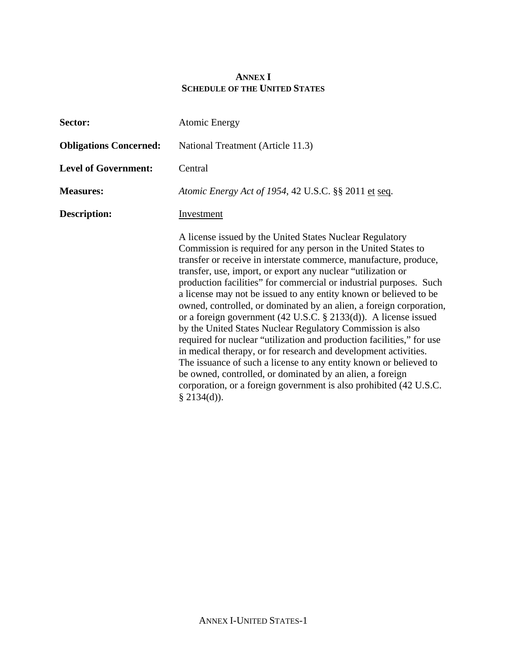### **ANNEX I SCHEDULE OF THE UNITED STATES**

| Sector:                       | <b>Atomic Energy</b>                                                                                                                                                                                                                                                                                                                                                                                                                                                                                                                                                                                                                                                                                                                                                                                                                                                                                                                                                                      |  |  |
|-------------------------------|-------------------------------------------------------------------------------------------------------------------------------------------------------------------------------------------------------------------------------------------------------------------------------------------------------------------------------------------------------------------------------------------------------------------------------------------------------------------------------------------------------------------------------------------------------------------------------------------------------------------------------------------------------------------------------------------------------------------------------------------------------------------------------------------------------------------------------------------------------------------------------------------------------------------------------------------------------------------------------------------|--|--|
| <b>Obligations Concerned:</b> | National Treatment (Article 11.3)                                                                                                                                                                                                                                                                                                                                                                                                                                                                                                                                                                                                                                                                                                                                                                                                                                                                                                                                                         |  |  |
| <b>Level of Government:</b>   | Central                                                                                                                                                                                                                                                                                                                                                                                                                                                                                                                                                                                                                                                                                                                                                                                                                                                                                                                                                                                   |  |  |
| <b>Measures:</b>              | Atomic Energy Act of 1954, 42 U.S.C. §§ 2011 et seq.                                                                                                                                                                                                                                                                                                                                                                                                                                                                                                                                                                                                                                                                                                                                                                                                                                                                                                                                      |  |  |
| <b>Description:</b>           | Investment                                                                                                                                                                                                                                                                                                                                                                                                                                                                                                                                                                                                                                                                                                                                                                                                                                                                                                                                                                                |  |  |
|                               | A license issued by the United States Nuclear Regulatory<br>Commission is required for any person in the United States to<br>transfer or receive in interstate commerce, manufacture, produce,<br>transfer, use, import, or export any nuclear "utilization or<br>production facilities" for commercial or industrial purposes. Such<br>a license may not be issued to any entity known or believed to be<br>owned, controlled, or dominated by an alien, a foreign corporation,<br>or a foreign government (42 U.S.C. $\S$ 2133(d)). A license issued<br>by the United States Nuclear Regulatory Commission is also<br>required for nuclear "utilization and production facilities," for use<br>in medical therapy, or for research and development activities.<br>The issuance of such a license to any entity known or believed to<br>be owned, controlled, or dominated by an alien, a foreign<br>corporation, or a foreign government is also prohibited (42 U.S.C.<br>$§$ 2134(d)). |  |  |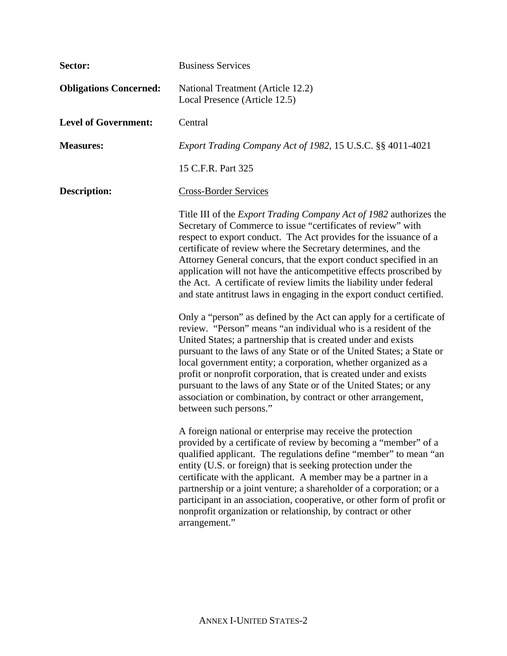| Sector:                       | <b>Business Services</b>                                                                                                                                                                                                                                                                                                                                                                                                                                                                                                                                                                |  |  |
|-------------------------------|-----------------------------------------------------------------------------------------------------------------------------------------------------------------------------------------------------------------------------------------------------------------------------------------------------------------------------------------------------------------------------------------------------------------------------------------------------------------------------------------------------------------------------------------------------------------------------------------|--|--|
| <b>Obligations Concerned:</b> | National Treatment (Article 12.2)<br>Local Presence (Article 12.5)                                                                                                                                                                                                                                                                                                                                                                                                                                                                                                                      |  |  |
| <b>Level of Government:</b>   | Central                                                                                                                                                                                                                                                                                                                                                                                                                                                                                                                                                                                 |  |  |
| <b>Measures:</b>              | Export Trading Company Act of 1982, 15 U.S.C. §§ 4011-4021                                                                                                                                                                                                                                                                                                                                                                                                                                                                                                                              |  |  |
|                               | 15 C.F.R. Part 325                                                                                                                                                                                                                                                                                                                                                                                                                                                                                                                                                                      |  |  |
| <b>Description:</b>           | <b>Cross-Border Services</b>                                                                                                                                                                                                                                                                                                                                                                                                                                                                                                                                                            |  |  |
|                               | Title III of the <i>Export Trading Company Act of 1982</i> authorizes the<br>Secretary of Commerce to issue "certificates of review" with<br>respect to export conduct. The Act provides for the issuance of a<br>certificate of review where the Secretary determines, and the<br>Attorney General concurs, that the export conduct specified in an<br>application will not have the anticompetitive effects proscribed by<br>the Act. A certificate of review limits the liability under federal<br>and state antitrust laws in engaging in the export conduct certified.             |  |  |
|                               | Only a "person" as defined by the Act can apply for a certificate of<br>review. "Person" means "an individual who is a resident of the<br>United States; a partnership that is created under and exists<br>pursuant to the laws of any State or of the United States; a State or<br>local government entity; a corporation, whether organized as a<br>profit or nonprofit corporation, that is created under and exists<br>pursuant to the laws of any State or of the United States; or any<br>association or combination, by contract or other arrangement,<br>between such persons." |  |  |
|                               | A foreign national or enterprise may receive the protection<br>provided by a certificate of review by becoming a "member" of a<br>qualified applicant. The regulations define "member" to mean "an<br>entity (U.S. or foreign) that is seeking protection under the<br>certificate with the applicant. A member may be a partner in a<br>partnership or a joint venture; a shareholder of a corporation; or a<br>participant in an association, cooperative, or other form of profit or<br>nonprofit organization or relationship, by contract or other<br>arrangement."                |  |  |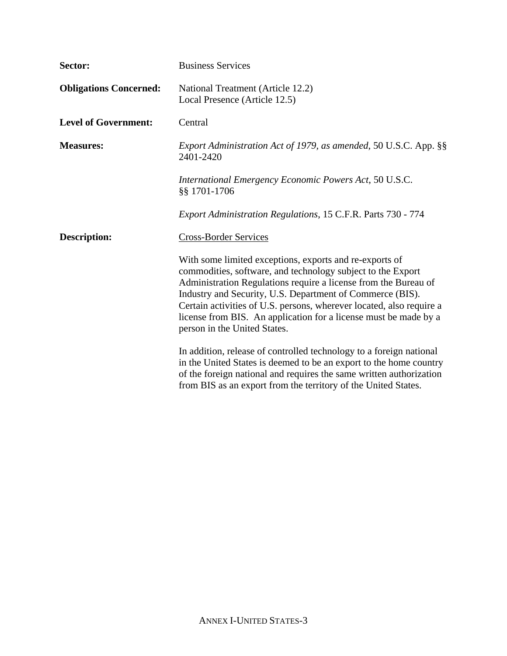| Sector:                       | <b>Business Services</b>                                                                                                                                                                                                                                                                                                                                                                                                           |  |  |
|-------------------------------|------------------------------------------------------------------------------------------------------------------------------------------------------------------------------------------------------------------------------------------------------------------------------------------------------------------------------------------------------------------------------------------------------------------------------------|--|--|
| <b>Obligations Concerned:</b> | National Treatment (Article 12.2)<br>Local Presence (Article 12.5)                                                                                                                                                                                                                                                                                                                                                                 |  |  |
| <b>Level of Government:</b>   | Central                                                                                                                                                                                                                                                                                                                                                                                                                            |  |  |
| <b>Measures:</b>              | Export Administration Act of 1979, as amended, 50 U.S.C. App. §§<br>2401-2420                                                                                                                                                                                                                                                                                                                                                      |  |  |
|                               | International Emergency Economic Powers Act, 50 U.S.C.<br>§§ 1701-1706                                                                                                                                                                                                                                                                                                                                                             |  |  |
|                               | Export Administration Regulations, 15 C.F.R. Parts 730 - 774                                                                                                                                                                                                                                                                                                                                                                       |  |  |
| <b>Description:</b>           | <b>Cross-Border Services</b>                                                                                                                                                                                                                                                                                                                                                                                                       |  |  |
|                               | With some limited exceptions, exports and re-exports of<br>commodities, software, and technology subject to the Export<br>Administration Regulations require a license from the Bureau of<br>Industry and Security, U.S. Department of Commerce (BIS).<br>Certain activities of U.S. persons, wherever located, also require a<br>license from BIS. An application for a license must be made by a<br>person in the United States. |  |  |
|                               | In addition, release of controlled technology to a foreign national<br>in the United States is deemed to be an export to the home country<br>of the foreign national and requires the same written authorization<br>from BIS as an export from the territory of the United States.                                                                                                                                                 |  |  |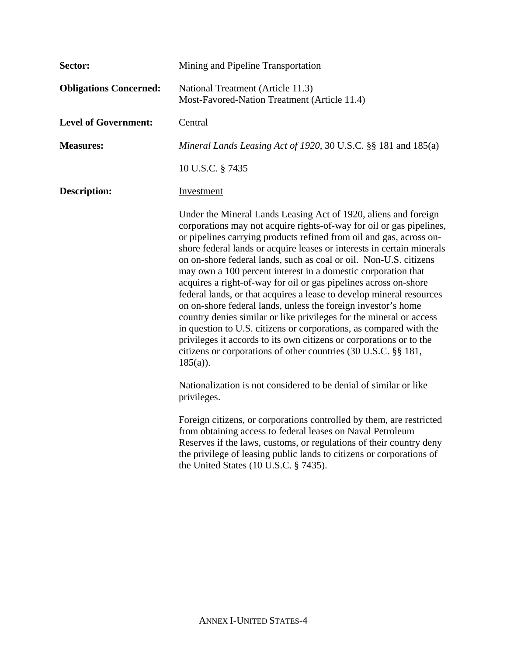| Sector:                       | Mining and Pipeline Transportation                                                                                                                                                                                                                                                                                                                                                                                                                                                                                                                                                                                                                                                                                                                                                                                                                                                                                                               |  |  |
|-------------------------------|--------------------------------------------------------------------------------------------------------------------------------------------------------------------------------------------------------------------------------------------------------------------------------------------------------------------------------------------------------------------------------------------------------------------------------------------------------------------------------------------------------------------------------------------------------------------------------------------------------------------------------------------------------------------------------------------------------------------------------------------------------------------------------------------------------------------------------------------------------------------------------------------------------------------------------------------------|--|--|
| <b>Obligations Concerned:</b> | National Treatment (Article 11.3)<br>Most-Favored-Nation Treatment (Article 11.4)                                                                                                                                                                                                                                                                                                                                                                                                                                                                                                                                                                                                                                                                                                                                                                                                                                                                |  |  |
| <b>Level of Government:</b>   | Central                                                                                                                                                                                                                                                                                                                                                                                                                                                                                                                                                                                                                                                                                                                                                                                                                                                                                                                                          |  |  |
| <b>Measures:</b>              | Mineral Lands Leasing Act of 1920, 30 U.S.C. §§ 181 and 185(a)                                                                                                                                                                                                                                                                                                                                                                                                                                                                                                                                                                                                                                                                                                                                                                                                                                                                                   |  |  |
|                               | 10 U.S.C. § 7435                                                                                                                                                                                                                                                                                                                                                                                                                                                                                                                                                                                                                                                                                                                                                                                                                                                                                                                                 |  |  |
| <b>Description:</b>           | Investment                                                                                                                                                                                                                                                                                                                                                                                                                                                                                                                                                                                                                                                                                                                                                                                                                                                                                                                                       |  |  |
|                               | Under the Mineral Lands Leasing Act of 1920, aliens and foreign<br>corporations may not acquire rights-of-way for oil or gas pipelines,<br>or pipelines carrying products refined from oil and gas, across on-<br>shore federal lands or acquire leases or interests in certain minerals<br>on on-shore federal lands, such as coal or oil. Non-U.S. citizens<br>may own a 100 percent interest in a domestic corporation that<br>acquires a right-of-way for oil or gas pipelines across on-shore<br>federal lands, or that acquires a lease to develop mineral resources<br>on on-shore federal lands, unless the foreign investor's home<br>country denies similar or like privileges for the mineral or access<br>in question to U.S. citizens or corporations, as compared with the<br>privileges it accords to its own citizens or corporations or to the<br>citizens or corporations of other countries (30 U.S.C. §§ 181,<br>$185(a)$ ). |  |  |
|                               | Nationalization is not considered to be denial of similar or like<br>privileges.                                                                                                                                                                                                                                                                                                                                                                                                                                                                                                                                                                                                                                                                                                                                                                                                                                                                 |  |  |
|                               | Foreign citizens, or corporations controlled by them, are restricted<br>from obtaining access to federal leases on Naval Petroleum<br>Reserves if the laws, customs, or regulations of their country deny<br>the privilege of leasing public lands to citizens or corporations of<br>the United States $(10$ U.S.C. $\S$ 7435).                                                                                                                                                                                                                                                                                                                                                                                                                                                                                                                                                                                                                  |  |  |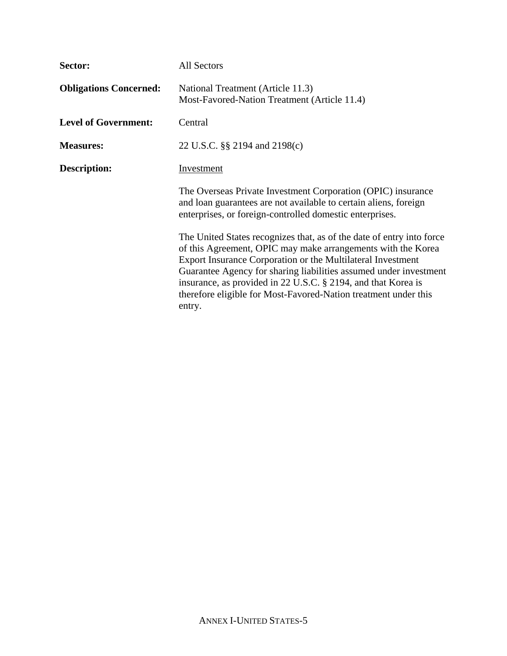| Sector:                       | <b>All Sectors</b>                                                                                                                                                                                                                                                                                                                                                                                                      |  |  |
|-------------------------------|-------------------------------------------------------------------------------------------------------------------------------------------------------------------------------------------------------------------------------------------------------------------------------------------------------------------------------------------------------------------------------------------------------------------------|--|--|
| <b>Obligations Concerned:</b> | National Treatment (Article 11.3)<br>Most-Favored-Nation Treatment (Article 11.4)                                                                                                                                                                                                                                                                                                                                       |  |  |
| <b>Level of Government:</b>   | Central                                                                                                                                                                                                                                                                                                                                                                                                                 |  |  |
| <b>Measures:</b>              | 22 U.S.C. §§ 2194 and 2198(c)                                                                                                                                                                                                                                                                                                                                                                                           |  |  |
| <b>Description:</b>           | Investment                                                                                                                                                                                                                                                                                                                                                                                                              |  |  |
|                               | The Overseas Private Investment Corporation (OPIC) insurance<br>and loan guarantees are not available to certain aliens, foreign<br>enterprises, or foreign-controlled domestic enterprises.                                                                                                                                                                                                                            |  |  |
|                               | The United States recognizes that, as of the date of entry into force<br>of this Agreement, OPIC may make arrangements with the Korea<br>Export Insurance Corporation or the Multilateral Investment<br>Guarantee Agency for sharing liabilities assumed under investment<br>insurance, as provided in 22 U.S.C. § 2194, and that Korea is<br>therefore eligible for Most-Favored-Nation treatment under this<br>entry. |  |  |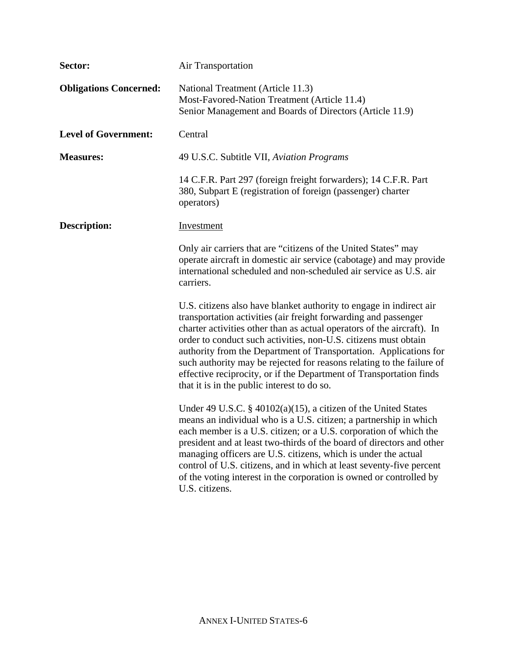| Sector:                       | Air Transportation                                                                                                                                                                                                                                                                                                                                                                                                                                                                                                                                      |  |  |
|-------------------------------|---------------------------------------------------------------------------------------------------------------------------------------------------------------------------------------------------------------------------------------------------------------------------------------------------------------------------------------------------------------------------------------------------------------------------------------------------------------------------------------------------------------------------------------------------------|--|--|
| <b>Obligations Concerned:</b> | National Treatment (Article 11.3)<br>Most-Favored-Nation Treatment (Article 11.4)<br>Senior Management and Boards of Directors (Article 11.9)                                                                                                                                                                                                                                                                                                                                                                                                           |  |  |
| <b>Level of Government:</b>   | Central                                                                                                                                                                                                                                                                                                                                                                                                                                                                                                                                                 |  |  |
| <b>Measures:</b>              | 49 U.S.C. Subtitle VII, Aviation Programs                                                                                                                                                                                                                                                                                                                                                                                                                                                                                                               |  |  |
|                               | 14 C.F.R. Part 297 (foreign freight forwarders); 14 C.F.R. Part<br>380, Subpart E (registration of foreign (passenger) charter<br>operators)                                                                                                                                                                                                                                                                                                                                                                                                            |  |  |
| <b>Description:</b>           | <b>Investment</b>                                                                                                                                                                                                                                                                                                                                                                                                                                                                                                                                       |  |  |
|                               | Only air carriers that are "citizens of the United States" may<br>operate aircraft in domestic air service (cabotage) and may provide<br>international scheduled and non-scheduled air service as U.S. air<br>carriers.                                                                                                                                                                                                                                                                                                                                 |  |  |
|                               | U.S. citizens also have blanket authority to engage in indirect air<br>transportation activities (air freight forwarding and passenger<br>charter activities other than as actual operators of the aircraft). In<br>order to conduct such activities, non-U.S. citizens must obtain<br>authority from the Department of Transportation. Applications for<br>such authority may be rejected for reasons relating to the failure of<br>effective reciprocity, or if the Department of Transportation finds<br>that it is in the public interest to do so. |  |  |
|                               | Under 49 U.S.C. $\S$ 40102(a)(15), a citizen of the United States<br>means an individual who is a U.S. citizen; a partnership in which<br>each member is a U.S. citizen; or a U.S. corporation of which the<br>president and at least two-thirds of the board of directors and other<br>managing officers are U.S. citizens, which is under the actual<br>control of U.S. citizens, and in which at least seventy-five percent<br>of the voting interest in the corporation is owned or controlled by<br>U.S. citizens.                                 |  |  |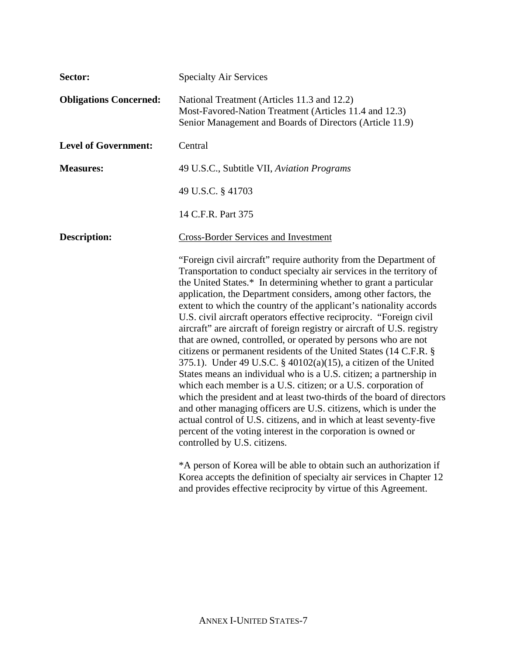| Sector:                       | <b>Specialty Air Services</b>                                                                                                                                                                                                                                                                                                                                                                                                                                                                                                                                                                                                                                                                                                                                                                                                                                                                                                                                                                                                                                                                                                                                                   |  |  |
|-------------------------------|---------------------------------------------------------------------------------------------------------------------------------------------------------------------------------------------------------------------------------------------------------------------------------------------------------------------------------------------------------------------------------------------------------------------------------------------------------------------------------------------------------------------------------------------------------------------------------------------------------------------------------------------------------------------------------------------------------------------------------------------------------------------------------------------------------------------------------------------------------------------------------------------------------------------------------------------------------------------------------------------------------------------------------------------------------------------------------------------------------------------------------------------------------------------------------|--|--|
| <b>Obligations Concerned:</b> | National Treatment (Articles 11.3 and 12.2)<br>Most-Favored-Nation Treatment (Articles 11.4 and 12.3)<br>Senior Management and Boards of Directors (Article 11.9)                                                                                                                                                                                                                                                                                                                                                                                                                                                                                                                                                                                                                                                                                                                                                                                                                                                                                                                                                                                                               |  |  |
| <b>Level of Government:</b>   | Central                                                                                                                                                                                                                                                                                                                                                                                                                                                                                                                                                                                                                                                                                                                                                                                                                                                                                                                                                                                                                                                                                                                                                                         |  |  |
| <b>Measures:</b>              | 49 U.S.C., Subtitle VII, Aviation Programs                                                                                                                                                                                                                                                                                                                                                                                                                                                                                                                                                                                                                                                                                                                                                                                                                                                                                                                                                                                                                                                                                                                                      |  |  |
|                               | 49 U.S.C. § 41703                                                                                                                                                                                                                                                                                                                                                                                                                                                                                                                                                                                                                                                                                                                                                                                                                                                                                                                                                                                                                                                                                                                                                               |  |  |
|                               | 14 C.F.R. Part 375                                                                                                                                                                                                                                                                                                                                                                                                                                                                                                                                                                                                                                                                                                                                                                                                                                                                                                                                                                                                                                                                                                                                                              |  |  |
| <b>Description:</b>           | <b>Cross-Border Services and Investment</b>                                                                                                                                                                                                                                                                                                                                                                                                                                                                                                                                                                                                                                                                                                                                                                                                                                                                                                                                                                                                                                                                                                                                     |  |  |
|                               | "Foreign civil aircraft" require authority from the Department of<br>Transportation to conduct specialty air services in the territory of<br>the United States.* In determining whether to grant a particular<br>application, the Department considers, among other factors, the<br>extent to which the country of the applicant's nationality accords<br>U.S. civil aircraft operators effective reciprocity. "Foreign civil<br>aircraft" are aircraft of foreign registry or aircraft of U.S. registry<br>that are owned, controlled, or operated by persons who are not<br>citizens or permanent residents of the United States (14 C.F.R. §<br>375.1). Under 49 U.S.C. § 40102(a)(15), a citizen of the United<br>States means an individual who is a U.S. citizen; a partnership in<br>which each member is a U.S. citizen; or a U.S. corporation of<br>which the president and at least two-thirds of the board of directors<br>and other managing officers are U.S. citizens, which is under the<br>actual control of U.S. citizens, and in which at least seventy-five<br>percent of the voting interest in the corporation is owned or<br>controlled by U.S. citizens. |  |  |
|                               | *A person of Korea will be able to obtain such an authorization if<br>Korea accepts the definition of specialty air services in Chapter 12<br>and provides effective reciprocity by virtue of this Agreement.                                                                                                                                                                                                                                                                                                                                                                                                                                                                                                                                                                                                                                                                                                                                                                                                                                                                                                                                                                   |  |  |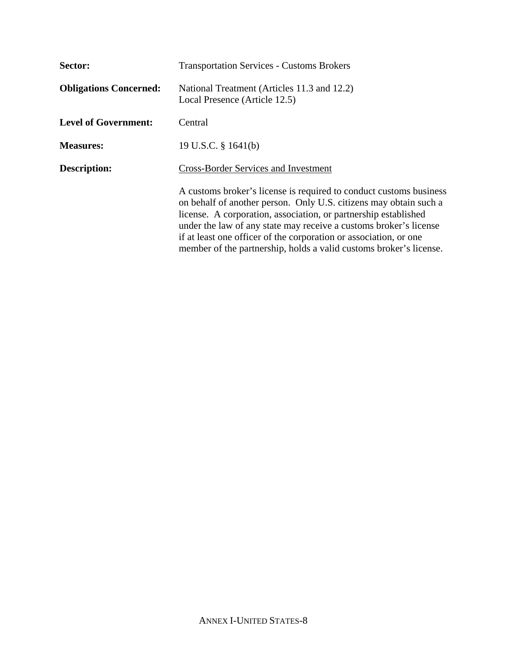| Sector:                       | <b>Transportation Services - Customs Brokers</b>                                                                                                                                                                                                                                                                                                                                                                           |  |  |  |
|-------------------------------|----------------------------------------------------------------------------------------------------------------------------------------------------------------------------------------------------------------------------------------------------------------------------------------------------------------------------------------------------------------------------------------------------------------------------|--|--|--|
| <b>Obligations Concerned:</b> | National Treatment (Articles 11.3 and 12.2)<br>Local Presence (Article 12.5)                                                                                                                                                                                                                                                                                                                                               |  |  |  |
| <b>Level of Government:</b>   | Central                                                                                                                                                                                                                                                                                                                                                                                                                    |  |  |  |
| <b>Measures:</b>              | 19 U.S.C. $\S$ 1641(b)                                                                                                                                                                                                                                                                                                                                                                                                     |  |  |  |
| <b>Description:</b>           | <b>Cross-Border Services and Investment</b>                                                                                                                                                                                                                                                                                                                                                                                |  |  |  |
|                               | A customs broker's license is required to conduct customs business<br>on behalf of another person. Only U.S. citizens may obtain such a<br>license. A corporation, association, or partnership established<br>under the law of any state may receive a customs broker's license<br>if at least one officer of the corporation or association, or one<br>member of the partnership, holds a valid customs broker's license. |  |  |  |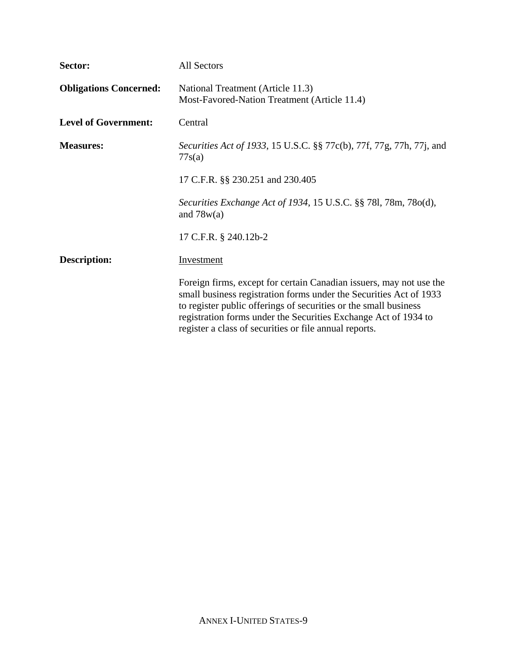| Sector:                       | <b>All Sectors</b>                                                                                                                                                                                                                                                                                                                         |  |  |
|-------------------------------|--------------------------------------------------------------------------------------------------------------------------------------------------------------------------------------------------------------------------------------------------------------------------------------------------------------------------------------------|--|--|
| <b>Obligations Concerned:</b> | National Treatment (Article 11.3)<br>Most-Favored-Nation Treatment (Article 11.4)                                                                                                                                                                                                                                                          |  |  |
| <b>Level of Government:</b>   | Central                                                                                                                                                                                                                                                                                                                                    |  |  |
| <b>Measures:</b>              | Securities Act of 1933, 15 U.S.C. §§ 77c(b), 77f, 77g, 77h, 77j, and<br>77s(a)                                                                                                                                                                                                                                                             |  |  |
|                               | 17 C.F.R. §§ 230.251 and 230.405                                                                                                                                                                                                                                                                                                           |  |  |
|                               | Securities Exchange Act of 1934, 15 U.S.C. §§ 781, 78m, 78o(d),<br>and $78w(a)$                                                                                                                                                                                                                                                            |  |  |
|                               | 17 C.F.R. § 240.12b-2                                                                                                                                                                                                                                                                                                                      |  |  |
| <b>Description:</b>           | <b>Investment</b>                                                                                                                                                                                                                                                                                                                          |  |  |
|                               | Foreign firms, except for certain Canadian issuers, may not use the<br>small business registration forms under the Securities Act of 1933<br>to register public offerings of securities or the small business<br>registration forms under the Securities Exchange Act of 1934 to<br>register a class of securities or file annual reports. |  |  |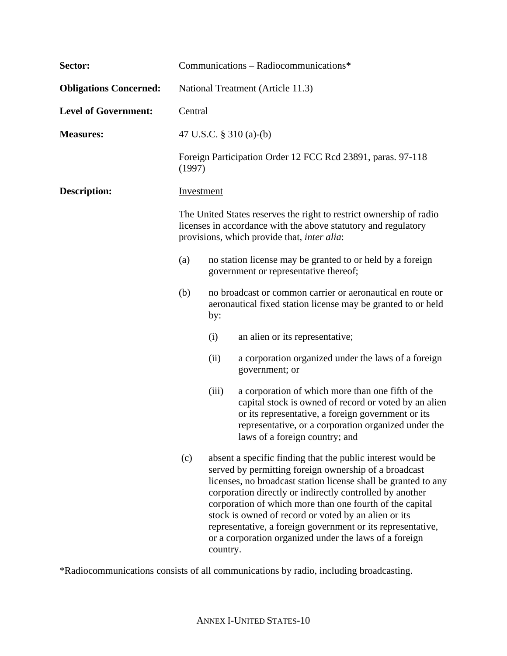| Sector:                       | Communications - Radiocommunications*                                                                                                                                                                                                                                                                     |                                                                                                                                                                                                                                                                                                                                                                                                                                                                                                             |                                                                                                                                                                                                                                                            |  |  |  |
|-------------------------------|-----------------------------------------------------------------------------------------------------------------------------------------------------------------------------------------------------------------------------------------------------------------------------------------------------------|-------------------------------------------------------------------------------------------------------------------------------------------------------------------------------------------------------------------------------------------------------------------------------------------------------------------------------------------------------------------------------------------------------------------------------------------------------------------------------------------------------------|------------------------------------------------------------------------------------------------------------------------------------------------------------------------------------------------------------------------------------------------------------|--|--|--|
| <b>Obligations Concerned:</b> | National Treatment (Article 11.3)                                                                                                                                                                                                                                                                         |                                                                                                                                                                                                                                                                                                                                                                                                                                                                                                             |                                                                                                                                                                                                                                                            |  |  |  |
| <b>Level of Government:</b>   | Central                                                                                                                                                                                                                                                                                                   |                                                                                                                                                                                                                                                                                                                                                                                                                                                                                                             |                                                                                                                                                                                                                                                            |  |  |  |
| <b>Measures:</b>              |                                                                                                                                                                                                                                                                                                           |                                                                                                                                                                                                                                                                                                                                                                                                                                                                                                             | 47 U.S.C. § 310 (a)-(b)                                                                                                                                                                                                                                    |  |  |  |
|                               | (1997)                                                                                                                                                                                                                                                                                                    | Foreign Participation Order 12 FCC Rcd 23891, paras. 97-118                                                                                                                                                                                                                                                                                                                                                                                                                                                 |                                                                                                                                                                                                                                                            |  |  |  |
| <b>Description:</b>           | Investment                                                                                                                                                                                                                                                                                                |                                                                                                                                                                                                                                                                                                                                                                                                                                                                                                             |                                                                                                                                                                                                                                                            |  |  |  |
|                               | The United States reserves the right to restrict ownership of radio<br>licenses in accordance with the above statutory and regulatory<br>provisions, which provide that, <i>inter alia</i> :<br>no station license may be granted to or held by a foreign<br>(a)<br>government or representative thereof; |                                                                                                                                                                                                                                                                                                                                                                                                                                                                                                             |                                                                                                                                                                                                                                                            |  |  |  |
|                               |                                                                                                                                                                                                                                                                                                           |                                                                                                                                                                                                                                                                                                                                                                                                                                                                                                             |                                                                                                                                                                                                                                                            |  |  |  |
|                               | (b)                                                                                                                                                                                                                                                                                                       | no broadcast or common carrier or aeronautical en route or<br>aeronautical fixed station license may be granted to or held<br>by:                                                                                                                                                                                                                                                                                                                                                                           |                                                                                                                                                                                                                                                            |  |  |  |
|                               |                                                                                                                                                                                                                                                                                                           | (i)                                                                                                                                                                                                                                                                                                                                                                                                                                                                                                         | an alien or its representative;                                                                                                                                                                                                                            |  |  |  |
|                               |                                                                                                                                                                                                                                                                                                           | (ii)                                                                                                                                                                                                                                                                                                                                                                                                                                                                                                        | a corporation organized under the laws of a foreign<br>government; or                                                                                                                                                                                      |  |  |  |
|                               |                                                                                                                                                                                                                                                                                                           | (iii)                                                                                                                                                                                                                                                                                                                                                                                                                                                                                                       | a corporation of which more than one fifth of the<br>capital stock is owned of record or voted by an alien<br>or its representative, a foreign government or its<br>representative, or a corporation organized under the<br>laws of a foreign country; and |  |  |  |
|                               | (c)                                                                                                                                                                                                                                                                                                       | absent a specific finding that the public interest would be<br>served by permitting foreign ownership of a broadcast<br>licenses, no broadcast station license shall be granted to any<br>corporation directly or indirectly controlled by another<br>corporation of which more than one fourth of the capital<br>stock is owned of record or voted by an alien or its<br>representative, a foreign government or its representative,<br>or a corporation organized under the laws of a foreign<br>country. |                                                                                                                                                                                                                                                            |  |  |  |

\*Radiocommunications consists of all communications by radio, including broadcasting.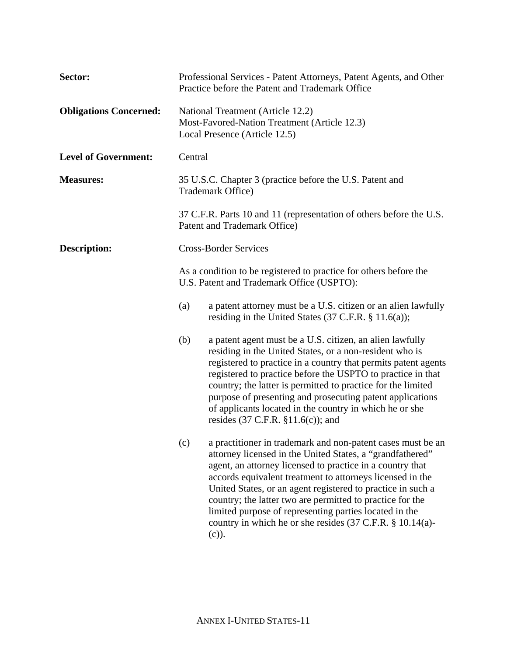| Sector:                       | Professional Services - Patent Attorneys, Patent Agents, and Other<br>Practice before the Patent and Trademark Office                                                                                                                                      |                                                                                                                                                                                                                                                                                                                                                                                                                                                                                                                               |  |  |
|-------------------------------|------------------------------------------------------------------------------------------------------------------------------------------------------------------------------------------------------------------------------------------------------------|-------------------------------------------------------------------------------------------------------------------------------------------------------------------------------------------------------------------------------------------------------------------------------------------------------------------------------------------------------------------------------------------------------------------------------------------------------------------------------------------------------------------------------|--|--|
| <b>Obligations Concerned:</b> | National Treatment (Article 12.2)<br>Most-Favored-Nation Treatment (Article 12.3)<br>Local Presence (Article 12.5)                                                                                                                                         |                                                                                                                                                                                                                                                                                                                                                                                                                                                                                                                               |  |  |
| <b>Level of Government:</b>   | Central                                                                                                                                                                                                                                                    |                                                                                                                                                                                                                                                                                                                                                                                                                                                                                                                               |  |  |
| <b>Measures:</b>              | 35 U.S.C. Chapter 3 (practice before the U.S. Patent and<br>Trademark Office)<br>37 C.F.R. Parts 10 and 11 (representation of others before the U.S.<br>Patent and Trademark Office)                                                                       |                                                                                                                                                                                                                                                                                                                                                                                                                                                                                                                               |  |  |
|                               |                                                                                                                                                                                                                                                            |                                                                                                                                                                                                                                                                                                                                                                                                                                                                                                                               |  |  |
| <b>Description:</b>           |                                                                                                                                                                                                                                                            | <b>Cross-Border Services</b>                                                                                                                                                                                                                                                                                                                                                                                                                                                                                                  |  |  |
|                               | As a condition to be registered to practice for others before the<br>U.S. Patent and Trademark Office (USPTO):<br>a patent attorney must be a U.S. citizen or an alien lawfully<br>(a)<br>residing in the United States $(37 \text{ C.F.R. } § 11.6(a))$ ; |                                                                                                                                                                                                                                                                                                                                                                                                                                                                                                                               |  |  |
|                               |                                                                                                                                                                                                                                                            |                                                                                                                                                                                                                                                                                                                                                                                                                                                                                                                               |  |  |
|                               | (b)                                                                                                                                                                                                                                                        | a patent agent must be a U.S. citizen, an alien lawfully<br>residing in the United States, or a non-resident who is<br>registered to practice in a country that permits patent agents<br>registered to practice before the USPTO to practice in that<br>country; the latter is permitted to practice for the limited<br>purpose of presenting and prosecuting patent applications<br>of applicants located in the country in which he or she<br>resides $(37 \text{ C.F.R. } §11.6(c))$ ; and                                 |  |  |
|                               | (c)                                                                                                                                                                                                                                                        | a practitioner in trademark and non-patent cases must be an<br>attorney licensed in the United States, a "grandfathered"<br>agent, an attorney licensed to practice in a country that<br>accords equivalent treatment to attorneys licensed in the<br>United States, or an agent registered to practice in such a<br>country; the latter two are permitted to practice for the<br>limited purpose of representing parties located in the<br>country in which he or she resides $(37 \text{ C.F.R. } § 10.14(a)$ -<br>$(c)$ ). |  |  |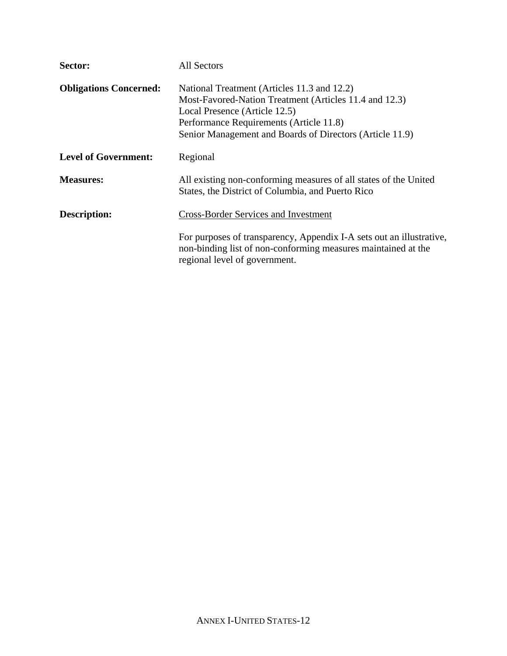| Sector:                       | <b>All Sectors</b>                                                                                                                                                                                                                            |
|-------------------------------|-----------------------------------------------------------------------------------------------------------------------------------------------------------------------------------------------------------------------------------------------|
| <b>Obligations Concerned:</b> | National Treatment (Articles 11.3 and 12.2)<br>Most-Favored-Nation Treatment (Articles 11.4 and 12.3)<br>Local Presence (Article 12.5)<br>Performance Requirements (Article 11.8)<br>Senior Management and Boards of Directors (Article 11.9) |
| <b>Level of Government:</b>   | Regional                                                                                                                                                                                                                                      |
| <b>Measures:</b>              | All existing non-conforming measures of all states of the United<br>States, the District of Columbia, and Puerto Rico                                                                                                                         |
| <b>Description:</b>           | <b>Cross-Border Services and Investment</b>                                                                                                                                                                                                   |
|                               | For purposes of transparency, Appendix I-A sets out an illustrative,<br>non-binding list of non-conforming measures maintained at the<br>regional level of government.                                                                        |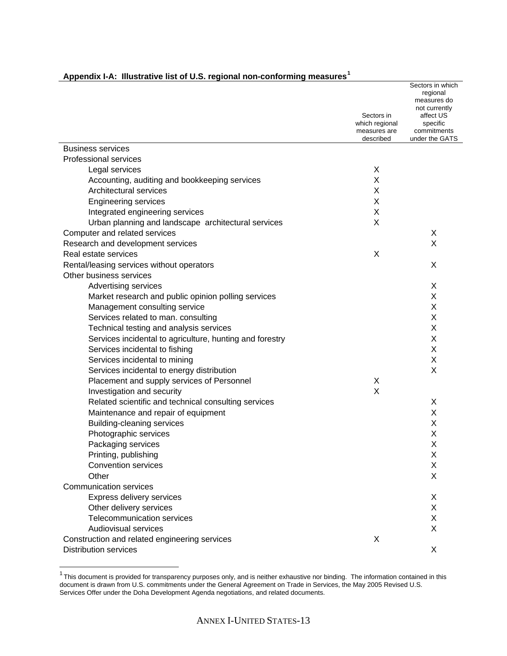<span id="page-12-0"></span>

|                                                          | Sectors in<br>which regional<br>measures are<br>described | Sectors in which<br>regional<br>measures do<br>not currently<br>affect US<br>specific<br>commitments<br>under the GATS |
|----------------------------------------------------------|-----------------------------------------------------------|------------------------------------------------------------------------------------------------------------------------|
| <b>Business services</b>                                 |                                                           |                                                                                                                        |
| <b>Professional services</b>                             |                                                           |                                                                                                                        |
| Legal services                                           | X                                                         |                                                                                                                        |
| Accounting, auditing and bookkeeping services            | Χ                                                         |                                                                                                                        |
| Architectural services                                   | Χ                                                         |                                                                                                                        |
| <b>Engineering services</b>                              | X                                                         |                                                                                                                        |
| Integrated engineering services                          | X                                                         |                                                                                                                        |
| Urban planning and landscape architectural services      | X                                                         |                                                                                                                        |
| Computer and related services                            |                                                           | X                                                                                                                      |
| Research and development services                        |                                                           | X                                                                                                                      |
| Real estate services                                     | X                                                         |                                                                                                                        |
| Rental/leasing services without operators                |                                                           | X                                                                                                                      |
| Other business services                                  |                                                           |                                                                                                                        |
| Advertising services                                     |                                                           | X                                                                                                                      |
| Market research and public opinion polling services      |                                                           | X                                                                                                                      |
| Management consulting service                            |                                                           | X                                                                                                                      |
| Services related to man. consulting                      |                                                           | X                                                                                                                      |
| Technical testing and analysis services                  |                                                           | X                                                                                                                      |
| Services incidental to agriculture, hunting and forestry |                                                           | X                                                                                                                      |
| Services incidental to fishing                           |                                                           | X                                                                                                                      |
| Services incidental to mining                            |                                                           | X                                                                                                                      |
| Services incidental to energy distribution               |                                                           | X                                                                                                                      |
| Placement and supply services of Personnel               | Χ                                                         |                                                                                                                        |
| Investigation and security                               | X                                                         |                                                                                                                        |
| Related scientific and technical consulting services     |                                                           | X                                                                                                                      |
| Maintenance and repair of equipment                      |                                                           | X                                                                                                                      |
| <b>Building-cleaning services</b>                        |                                                           | Χ                                                                                                                      |
| Photographic services                                    |                                                           | Χ                                                                                                                      |
| Packaging services                                       |                                                           | Χ                                                                                                                      |
| Printing, publishing                                     |                                                           | X                                                                                                                      |
| <b>Convention services</b>                               |                                                           | Χ                                                                                                                      |
| Other                                                    |                                                           | X                                                                                                                      |
| <b>Communication services</b>                            |                                                           |                                                                                                                        |
| Express delivery services                                |                                                           | X                                                                                                                      |
| Other delivery services                                  |                                                           | X                                                                                                                      |
| Telecommunication services                               |                                                           | Χ                                                                                                                      |
| Audiovisual services                                     |                                                           | X                                                                                                                      |
| Construction and related engineering services            | X                                                         |                                                                                                                        |
| <b>Distribution services</b>                             |                                                           | X                                                                                                                      |

This document is provided for transparency purposes only, and is neither exhaustive nor binding. The information contained in this document is drawn from U.S. commitments under the General Agreement on Trade in Services, the May 2005 Revised U.S. Services Offer under the Doha Development Agenda negotiations, and related documents.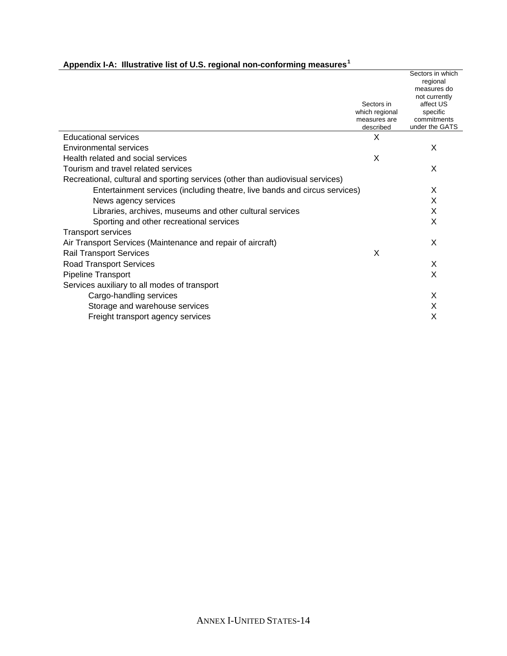|                                                                                |                                | Sectors in which<br>regional<br>measures do |
|--------------------------------------------------------------------------------|--------------------------------|---------------------------------------------|
|                                                                                |                                | not currently                               |
|                                                                                | Sectors in                     | affect US                                   |
|                                                                                | which regional<br>measures are | specific<br>commitments                     |
|                                                                                | described                      | under the GATS                              |
| <b>Educational services</b>                                                    | X                              |                                             |
| Environmental services                                                         |                                | X                                           |
| Health related and social services                                             | X                              |                                             |
| Tourism and travel related services                                            |                                | X                                           |
| Recreational, cultural and sporting services (other than audiovisual services) |                                |                                             |
| Entertainment services (including theatre, live bands and circus services)     |                                | X                                           |
| News agency services                                                           |                                | X                                           |
| Libraries, archives, museums and other cultural services                       |                                | X                                           |
| Sporting and other recreational services                                       |                                | X                                           |
| <b>Transport services</b>                                                      |                                |                                             |
| Air Transport Services (Maintenance and repair of aircraft)                    |                                | X                                           |
| <b>Rail Transport Services</b>                                                 | X                              |                                             |
| <b>Road Transport Services</b>                                                 |                                | X                                           |
| Pipeline Transport                                                             |                                | X                                           |
| Services auxiliary to all modes of transport                                   |                                |                                             |
| Cargo-handling services                                                        |                                | X                                           |
| Storage and warehouse services                                                 |                                | X                                           |
| Freight transport agency services                                              |                                | X                                           |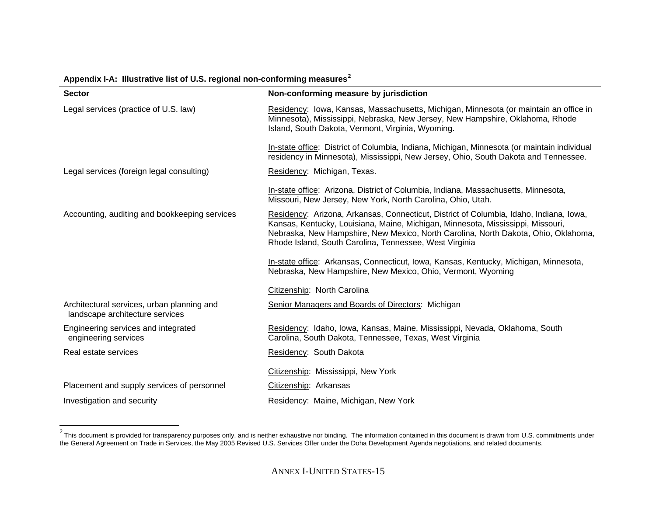| <b>Sector</b>                                                                 | Non-conforming measure by jurisdiction                                                                                                                                                                                                                                                                                    |
|-------------------------------------------------------------------------------|---------------------------------------------------------------------------------------------------------------------------------------------------------------------------------------------------------------------------------------------------------------------------------------------------------------------------|
| Legal services (practice of U.S. law)                                         | Residency: Iowa, Kansas, Massachusetts, Michigan, Minnesota (or maintain an office in<br>Minnesota), Mississippi, Nebraska, New Jersey, New Hampshire, Oklahoma, Rhode<br>Island, South Dakota, Vermont, Virginia, Wyoming.                                                                                               |
|                                                                               | In-state office: District of Columbia, Indiana, Michigan, Minnesota (or maintain individual<br>residency in Minnesota), Mississippi, New Jersey, Ohio, South Dakota and Tennessee.                                                                                                                                        |
| Legal services (foreign legal consulting)                                     | Residency: Michigan, Texas.                                                                                                                                                                                                                                                                                               |
|                                                                               | In-state office: Arizona, District of Columbia, Indiana, Massachusetts, Minnesota,<br>Missouri, New Jersey, New York, North Carolina, Ohio, Utah.                                                                                                                                                                         |
| Accounting, auditing and bookkeeping services                                 | Residency: Arizona, Arkansas, Connecticut, District of Columbia, Idaho, Indiana, Iowa,<br>Kansas, Kentucky, Louisiana, Maine, Michigan, Minnesota, Mississippi, Missouri,<br>Nebraska, New Hampshire, New Mexico, North Carolina, North Dakota, Ohio, Oklahoma,<br>Rhode Island, South Carolina, Tennessee, West Virginia |
|                                                                               | In-state office: Arkansas, Connecticut, Iowa, Kansas, Kentucky, Michigan, Minnesota,<br>Nebraska, New Hampshire, New Mexico, Ohio, Vermont, Wyoming                                                                                                                                                                       |
|                                                                               | Citizenship: North Carolina                                                                                                                                                                                                                                                                                               |
| Architectural services, urban planning and<br>landscape architecture services | Senior Managers and Boards of Directors: Michigan                                                                                                                                                                                                                                                                         |
| Engineering services and integrated<br>engineering services                   | Residency: Idaho, Iowa, Kansas, Maine, Mississippi, Nevada, Oklahoma, South<br>Carolina, South Dakota, Tennessee, Texas, West Virginia                                                                                                                                                                                    |
| Real estate services                                                          | Residency: South Dakota                                                                                                                                                                                                                                                                                                   |
|                                                                               | Citizenship: Mississippi, New York                                                                                                                                                                                                                                                                                        |
| Placement and supply services of personnel                                    | Citizenship: Arkansas                                                                                                                                                                                                                                                                                                     |
| Investigation and security                                                    | Residency: Maine, Michigan, New York                                                                                                                                                                                                                                                                                      |

<span id="page-14-0"></span><sup>&</sup>lt;sup>2</sup> This document is provided for transparency purposes only, and is neither exhaustive nor binding. The information contained in this document is drawn from U.S. commitments under the General Agreement on Trade in Services, the May 2005 Revised U.S. Services Offer under the Doha Development Agenda negotiations, and related documents.